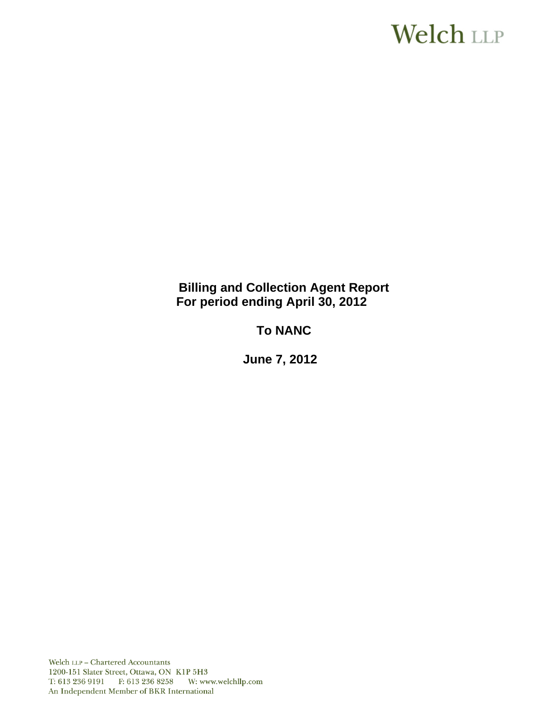# **Welch LLP**

# **Billing and Collection Agent Report For period ending April 30, 2012**

# **To NANC**

**June 7, 2012**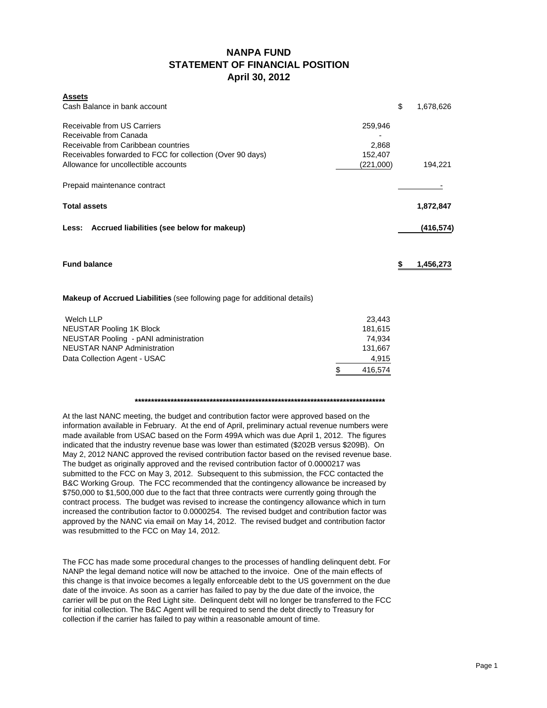### **NANPA FUND STATEMENT OF FINANCIAL POSITION April 30, 2012**

| <b>Assets</b>                                                             |           |            |
|---------------------------------------------------------------------------|-----------|------------|
| Cash Balance in bank account                                              | \$        | 1,678,626  |
| Receivable from US Carriers                                               | 259,946   |            |
| Receivable from Canada                                                    |           |            |
| Receivable from Caribbean countries                                       | 2,868     |            |
| Receivables forwarded to FCC for collection (Over 90 days)                | 152,407   |            |
| Allowance for uncollectible accounts                                      | (221,000) | 194,221    |
| Prepaid maintenance contract                                              |           |            |
| <b>Total assets</b>                                                       |           | 1,872,847  |
| Less: Accrued liabilities (see below for makeup)                          |           | (416, 574) |
| <b>Fund balance</b>                                                       | S         | 1,456,273  |
|                                                                           |           |            |
| Makeup of Accrued Liabilities (see following page for additional details) |           |            |
| <b>Welch LLP</b>                                                          | 23,443    |            |
| <b>NEUSTAR Pooling 1K Block</b>                                           | 181,615   |            |

|                                       | 416.574 |
|---------------------------------------|---------|
| Data Collection Agent - USAC          | 4.915   |
| NEUSTAR NANP Administration           | 131.667 |
| NEUSTAR Pooling - pANI administration | 74.934  |
| NEUSTAR Pooling 1K Block              | 181.615 |

#### **\*\*\*\*\*\*\*\*\*\*\*\*\*\*\*\*\*\*\*\*\*\*\*\*\*\*\*\*\*\*\*\*\*\*\*\*\*\*\*\*\*\*\*\*\*\*\*\*\*\*\*\*\*\*\*\*\*\*\*\*\*\*\*\*\*\*\*\*\*\*\*\*\*\*\*\*\***

At the last NANC meeting, the budget and contribution factor were approved based on the information available in February. At the end of April, preliminary actual revenue numbers were made available from USAC based on the Form 499A which was due April 1, 2012. The figures indicated that the industry revenue base was lower than estimated (\$202B versus \$209B). On May 2, 2012 NANC approved the revised contribution factor based on the revised revenue base. The budget as originally approved and the revised contribution factor of 0.0000217 was submitted to the FCC on May 3, 2012. Subsequent to this submission, the FCC contacted the B&C Working Group. The FCC recommended that the contingency allowance be increased by \$750,000 to \$1,500,000 due to the fact that three contracts were currently going through the contract process. The budget was revised to increase the contingency allowance which in turn increased the contribution factor to 0.0000254. The revised budget and contribution factor was approved by the NANC via email on May 14, 2012. The revised budget and contribution factor was resubmitted to the FCC on May 14, 2012.

The FCC has made some procedural changes to the processes of handling delinquent debt. For NANP the legal demand notice will now be attached to the invoice. One of the main effects of this change is that invoice becomes a legally enforceable debt to the US government on the due date of the invoice. As soon as a carrier has failed to pay by the due date of the invoice, the carrier will be put on the Red Light site. Delinquent debt will no longer be transferred to the FCC for initial collection. The B&C Agent will be required to send the debt directly to Treasury for collection if the carrier has failed to pay within a reasonable amount of time.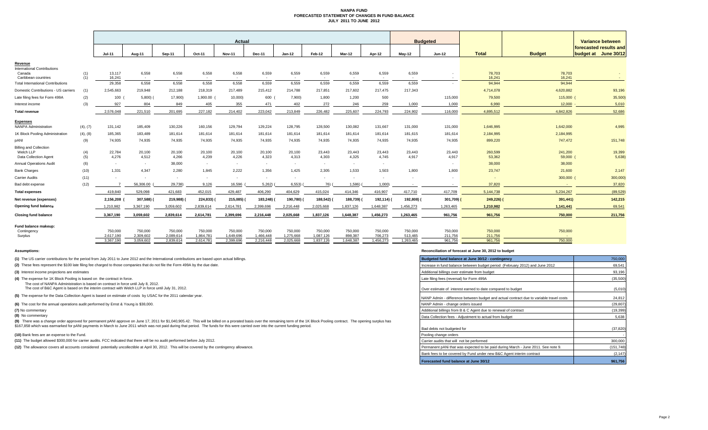#### **NANPA FUND FORECASTED STATEMENT OF CHANGES IN FUND BALANCE JULY 2011 TO JUNE 2012**

|                                                |            | Actual               |                      |                      |                      |                      |                      |                           |                      |                          |                    | <b>Budgeted</b>    |                                    |                    |                     | Variance between       |  |
|------------------------------------------------|------------|----------------------|----------------------|----------------------|----------------------|----------------------|----------------------|---------------------------|----------------------|--------------------------|--------------------|--------------------|------------------------------------|--------------------|---------------------|------------------------|--|
|                                                |            |                      |                      |                      |                      |                      |                      |                           |                      |                          |                    |                    |                                    |                    |                     | forecasted results and |  |
|                                                |            | <b>Jul-11</b>        | Aug-11               | Sep-11               | Oct-11               | <b>Nov-11</b>        | Dec-11               | $Jan-12$                  | Feb-12               | Mar-12                   | Apr-12             | $May-12$           | Jun-12                             | <b>Total</b>       | <b>Budget</b>       | budget at June 30/12   |  |
| Revenue<br><b>International Contributions</b>  |            |                      |                      |                      |                      |                      |                      |                           |                      |                          |                    |                    |                                    |                    |                     |                        |  |
| Canada<br>Caribbean countries                  | (1)<br>(1) | 13,117<br>16.241     | 6,558<br>$\sim$      | 6,558<br>$\sim$      | 6,558<br>$\sim$      | 6,558<br>$\sim$      | 6,559<br>$\sim$      | 6,559<br>$\sim$ 100 $\mu$ | 6,559<br>$\sim$      | 6,559<br>$\sim$          | 6,559<br>$\sim$    | 6,559<br>$\sim$    | $\sim$<br>$\overline{\phantom{a}}$ | 78,703<br>16.241   | 78,703<br>16.241    | $\sim$                 |  |
| <b>Total International Contributions</b>       |            | 29,358               | 6,558                | 6,558                | 6,558                | 6.558                | 6,559                | 6,559                     | 6,559                | 6.559                    | 6,559              | 6.559              | $\overline{\phantom{a}}$           | 94,944             | 94,944              |                        |  |
| Domestic Contributions - US carriers           | (1)        | 2,545,663            | 219,948              | 212,188              | 218,319              | 217.489              | 215,412              | 214,788                   | 217,851              | 217.602                  | 217,475            | 217,343            |                                    | 4,714,078          | 4,620,882           | 93,196                 |  |
| Late filing fees for Form 499A                 | (2)        | 100                  | 5,800(               | 17,900)              | 1,900.00             | 10,000)              | 600                  | 7,900)                    | 1,800                | 1,200                    | 500                |                    | 115,000                            | 79,500             | 115,000             | 35,500)                |  |
| Interest income                                | (3)        | 927                  | 804                  | 849                  | 405                  | 355                  | 471                  | 402                       | 272                  | 246                      | 259                | 1,000              | 1,000                              | 6.990              | 12,000              | 5,010                  |  |
| <b>Total revenue</b>                           |            | 2,576,048            | 221,510              | 201.695              | 227,182              | 214.402              | 223,042              | 213,849                   | 226,482              | 225,607                  | 224.793            | 224,902            | 116,000                            | 4,895,512          | 4,842,826           | 52,686                 |  |
| <b>Expenses</b><br><b>NANPA Administration</b> | (4), (7)   | 131,142              | 185,409              | 130,226              | 160,156              | 129,794              | 129,224              | 128,795                   | 128,500              | 130,082                  | 131,667            | 131,000            | 131,000                            | 1,646,995          | 1,642,000           | 4,995                  |  |
| 1K Block Pooling Administration                | (4), (8)   | 185,365              | 183,489              | 181,614              | 181,614              | 181,614              | 181,614              | 181,614                   | 181,614              | 181,614                  | 181,614            | 181,615            | 181,614                            | 2,184,995          | 2,184,995           |                        |  |
| pANI                                           | (9)        | 74.935               | 74.935               | 74.935               | 74.935               | 74.935               | 74.935               | 74.935                    | 74,935               | 74.935                   | 74.935             | 74.935             | 74.935                             | 899,220            | 747,472             | 151,748                |  |
| <b>Billing and Collection</b>                  |            |                      |                      |                      |                      |                      |                      |                           |                      |                          |                    |                    |                                    |                    |                     |                        |  |
| Welch LLP<br>Data Collection Agent             | (4)<br>(5) | 22,784<br>4,276      | 20,100<br>4.512      | 20,100<br>4,266      | 20,100<br>4,239      | 20,100<br>4,226      | 20,100<br>4,323      | 20,100<br>4,313           | 23,443<br>4,303      | 23,443<br>4,325          | 23,443<br>4,745    | 23,443<br>4.917    | 23,443<br>4,917                    | 260,599<br>53,362  | 241,200<br>59,000 ( | 19,399<br>5,638        |  |
| <b>Annual Operations Audit</b>                 | (6)        | $\sim$               | $\sim$               | 38,000               | $\sim$               | $\sim$               | $\sim$               | $\sim$                    | $\sim$               | $\sim$                   | $\sim$             |                    | $\sim$                             | 38,000             | 38,000              |                        |  |
| <b>Bank Charges</b>                            | (10)       | 1,331                | 4.347                | 2.280                | 1.845                | 2.222                | 1.356                | 1,425                     | 2.305                | 1.533                    | 1.503              | 1.800              | 1.800                              | 23,747             | 21,600              | 2,147                  |  |
| <b>Carrier Audits</b>                          | (11)       | $\sim$               | $\sim$               | $\sim$               | $\sim$               | $\sim$               | $\sim$               | $\sim$                    | $\sim$               | $\overline{\phantom{a}}$ | $\sim$             | $\sim$             | $\overline{\phantom{a}}$           | $\sim$             | 300,000             | 300,000                |  |
| Bad debt expense                               | (12)       |                      | 56,306.00            | 29,738)              | 9.126                | 16.596               | 5.262                | 6,553)                    | 76)                  | 1,586)                   | 1,000              | $\sim$             | $\sim$                             | 37,820             | $\sim$              | 37,820                 |  |
| <b>Total expenses</b>                          |            | 419,840              | 529.098              | 421.683              | 452.015              | 429.487              | 406,290              | 404.629                   | 415,024              | 414.346                  | 416.907            | 417,710            | 417,709                            | 5.144.738          | 5.234.267           | (89, 529)              |  |
| Net revenue (expenses)                         |            | 2,156,208            | 307,588)             | 219,988)             | 224,833)             | 215,085) (           | 183,248) (           | 190,780)                  | 188,542)             | 188,739)                 | 192,114) (         | 192,808)           | 301,709) (                         | $249,226$ )        | 391,441)            | 142,215                |  |
| Opening fund balance                           |            | 1,210,982            | 3,367,190            | 3,059,602            | 2,839,614            | 2,614,781            | 2,399,696            | 2,216,448                 | 2,025,668            | 1,837,126                | 1,648,387          | 1,456,273          | 1,263,465                          | 1,210,982          | 1,141,441           | 69,541                 |  |
| <b>Closing fund balance</b>                    |            | 3,367,190            | 3,059,602            | 2.839.614            | 2.614.781            | 2.399.696            | 2,216,448            | 2.025.668                 | 1,837,126            | 1.648.387                | 1,456,273          | 1,263,465          | 961,756                            | 961,756            | 750,000             | 211,756                |  |
| Fund balance makeup:                           |            |                      |                      |                      |                      |                      |                      |                           |                      |                          |                    |                    |                                    |                    |                     |                        |  |
| Contingency<br>Surplus                         |            | 750,000<br>2.617.190 | 750,000<br>2.309.602 | 750,000<br>2.089.614 | 750,000<br>1.864.781 | 750,000<br>1,649,696 | 750,000<br>1,466,448 | 750,000<br>1,275,668      | 750,000<br>1,087,126 | 750,000<br>898.387       | 750,000<br>706.273 | 750,000<br>513,465 | 750,000<br>211,756                 | 750,000<br>211,756 | 750,000<br>$\sim$   |                        |  |
|                                                |            | 3,367,190            | 3,059,602            | 2.839.614            | 2,614,781            | 2.399.696            | 2,216,448            | 2,025,668                 | 1,837,126            | 1.648.387                | 1,456,273          | 1,263,465          | 961,756                            | 961,756            | 750,000             |                        |  |

**(8)** No commentary

#### **Assumptions: Reconciliation of forecast at June 30, 2012 to budget**

| (1) The US carrier contributions for the period from July 2011 to June 2012 and the International contributions are based upon actual billings.                                                                                                                                                                                                                                                                       | Budgeted fund balance at June 30/12 - contingency                                       | 750,000    |
|-----------------------------------------------------------------------------------------------------------------------------------------------------------------------------------------------------------------------------------------------------------------------------------------------------------------------------------------------------------------------------------------------------------------------|-----------------------------------------------------------------------------------------|------------|
| (2) These fees represent the \$100 late filing fee charged to those companies that do not file the Form 499A by the due date.                                                                                                                                                                                                                                                                                         | Increase in fund balance between budget period (February 2012) and June 2012            | 69,541     |
| (3) Interest income projections are estimates                                                                                                                                                                                                                                                                                                                                                                         | Additional billings over estimate from budget                                           | 93,196     |
| (4) The expense for 1K Block Pooling is based on the contract in force.                                                                                                                                                                                                                                                                                                                                               | Late filing fees (reversal) for Form 499A                                               | (35,500)   |
| The cost of NANPA Administration is based on contract in force until July 8, 2012.<br>The cost of B&C Agent is based on the interim contract with Welch LLP in force until July 31, 2012.                                                                                                                                                                                                                             | Over estimate of interest earned to date compared to budget                             | (5,010)    |
| (5) The expense for the Data Collection Agent is based on estimate of costs by USAC for the 2011 calendar year.                                                                                                                                                                                                                                                                                                       | NANP Admin - difference between budget and actual contract due to variable travel costs | 24,812     |
| (6) The cost for the annual operations audit performed by Ernst & Young is \$38,000.                                                                                                                                                                                                                                                                                                                                  | NANP Admin - change orders issued                                                       | (29, 807)  |
| (7) No commentary                                                                                                                                                                                                                                                                                                                                                                                                     | Additional billings from B & C Agent due to renewal of contract                         | (19, 399)  |
| (8) No commentary                                                                                                                                                                                                                                                                                                                                                                                                     | Data Collection fees - Adiustment to actual from budget                                 | 5,638      |
| (9) There was a change order approved for permanent pANI approve on June 17, 2011 for \$1,040,905.42. This will be billed on a prorated basis over the remaining term of the 1K Block Pooling contract. The opening surplus has<br>\$167,858 which was earmarked for pANI payments in March to June 2011 which was not paid during that period. The funds for this were carried over into the current funding period. | Bad debts not budgeted for                                                              | (37, 820)  |
| (10) Bank fees are an expense to the Fund.                                                                                                                                                                                                                                                                                                                                                                            | Pooling change orders                                                                   |            |
| (11) The budget allowed \$300,000 for carrier audits. FCC indicated that there will be no audit performed before July 2012.                                                                                                                                                                                                                                                                                           | Carrier audits that will not be performed                                               | 300,000    |
| (12) The allowance covers all accounts considered potentially uncollectible at April 30, 2012. This will be covered by the contingency allowance.                                                                                                                                                                                                                                                                     | Permanent pANi that was expected to be paid during March - June 2011. See note 9.       | (151, 748) |
|                                                                                                                                                                                                                                                                                                                                                                                                                       | Bank fees to be covered by Fund under new B&C Agent interim contract                    | (2, 147)   |
|                                                                                                                                                                                                                                                                                                                                                                                                                       | Forecasted fund balance at June 30/12                                                   | 961,756    |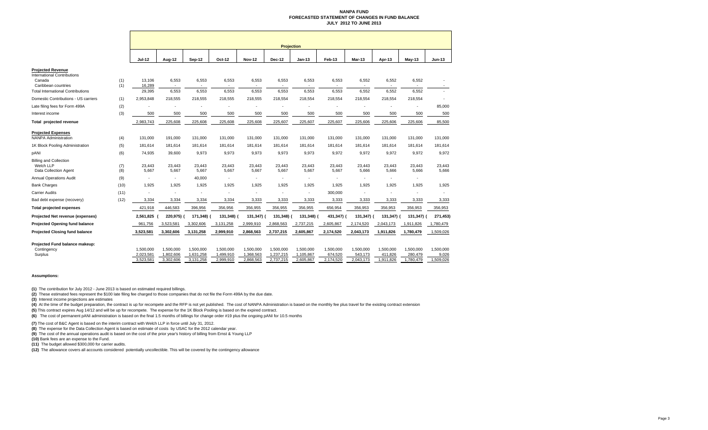#### **NANPA FUND FORECASTED STATEMENT OF CHANGES IN FUND BALANCEJULY 2012 TO JUNE 2013**

|                                                                          |            | <b>Projection</b>      |                        |                        |                        |                        |                        |                          |                      |                      |                      |                      |                    |
|--------------------------------------------------------------------------|------------|------------------------|------------------------|------------------------|------------------------|------------------------|------------------------|--------------------------|----------------------|----------------------|----------------------|----------------------|--------------------|
|                                                                          |            |                        |                        |                        |                        |                        |                        |                          |                      |                      |                      |                      |                    |
|                                                                          |            | Jul-12                 | Aug-12                 | Sep-12                 | Oct-12                 | <b>Nov-12</b>          | <b>Dec-12</b>          | $Jan-13$                 | Feb-13               | Mar-13               | Apr-13               | $May-13$             | <b>Jun-13</b>      |
| <b>Projected Revenue</b><br><b>International Contributions</b><br>Canada | (1)        | 13,106                 | 6,553                  | 6,553                  | 6,553                  | 6,553                  | 6,553                  | 6,553                    | 6,553                | 6,552                | 6,552                | 6,552                |                    |
| Caribbean countries                                                      | (1)        | 16,289                 | $\sim$                 |                        |                        |                        |                        |                          |                      |                      |                      |                      |                    |
| <b>Total International Contributions</b>                                 |            | 29,395                 | 6,553                  | 6,553                  | 6,553                  | 6,553                  | 6,553                  | 6,553                    | 6,553                | 6,552                | 6,552                | 6,552                |                    |
| Domestic Contributions - US carriers                                     | (1)        | 2,953,848              | 218,555                | 218,555                | 218,555                | 218,555                | 218,554                | 218,554                  | 218,554              | 218,554              | 218,554              | 218,554              |                    |
| Late filing fees for Form 499A                                           | (2)        |                        |                        |                        |                        |                        |                        |                          |                      |                      |                      | ٠                    | 85,000             |
| Interest income                                                          | (3)        | 500                    | 500                    | 500                    | 500                    | 500                    | 500                    | 500                      | 500                  | 500                  | 500                  | 500                  | 500                |
| Total projected revenue                                                  |            | 2,983,743              | 225,608                | 225,608                | 225,608                | 225,608                | 225,607                | 225,607                  | 225,607              | 225,606              | 225,606              | 225,606              | 85,500             |
| <b>Projected Expenses</b><br><b>NANPA Administration</b>                 | (4)        | 131,000                | 191,000                | 131,000                | 131,000                | 131,000                | 131,000                | 131,000                  | 131,000              | 131,000              | 131,000              | 131,000              | 131,000            |
| 1K Block Pooling Administration                                          | (5)        | 181,614                | 181,614                | 181,614                | 181,614                | 181,614                | 181,614                | 181,614                  | 181,614              | 181,614              | 181,614              | 181,614              | 181,614            |
| pANI                                                                     | (6)        | 74,935                 | 39,600                 | 9,973                  | 9,973                  | 9,973                  | 9,973                  | 9,973                    | 9,972                | 9,972                | 9,972                | 9,972                | 9,972              |
| <b>Billing and Collection</b><br>Welch LLP<br>Data Collection Agent      | (7)<br>(8) | 23.443<br>5,667        | 23.443<br>5,667        | 23.443<br>5,667        | 23.443<br>5,667        | 23.443<br>5,667        | 23,443<br>5,667        | 23.443<br>5,667          | 23,443<br>5,667      | 23.443<br>5,666      | 23,443<br>5,666      | 23,443<br>5,666      | 23.443<br>5,666    |
| <b>Annual Operations Audit</b>                                           | (9)        |                        | $\blacksquare$         | 40,000                 | $\blacksquare$         |                        | ä,                     | $\overline{\phantom{a}}$ |                      |                      |                      |                      |                    |
| <b>Bank Charges</b>                                                      | (10)       | 1,925                  | 1,925                  | 1,925                  | 1.925                  | 1.925                  | 1,925                  | 1.925                    | 1.925                | 1.925                | 1,925                | 1,925                | 1.925              |
| <b>Carrier Audits</b>                                                    | (11)       |                        |                        |                        | ÷                      |                        | ÷,                     | $\overline{\phantom{a}}$ | 300,000              |                      |                      |                      |                    |
| Bad debt expense (recovery)                                              | (12)       | 3,334                  | 3,334                  | 3,334                  | 3,334                  | 3,333                  | 3,333                  | 3,333                    | 3,333                | 3,333                | 3,333                | 3,333                | 3,333              |
| <b>Total projected expenses</b>                                          |            | 421,918                | 446,583                | 396,956                | 356,956                | 356,955                | 356,955                | 356,955                  | 656,954              | 356,953              | 356,953              | 356,953              | 356,953            |
| Projected Net revenue (expenses)                                         |            | 2,561,825              | 220,975) (             | 171,348) (             | 131,348)               | 131,347)               | 131,348)               | 131,348) (               | 431,347)             | 131,347)             | 131,347) (           | 131,347)             | 271,453)           |
| <b>Projected Opening fund balance</b>                                    |            | 961,756                | 3,523,581              | 3,302,606              | 3,131,258              | 2,999,910              | 2,868,563              | 2,737,215                | 2,605,867            | 2,174,520            | 2,043,173            | 1,911,826            | 1,780,479          |
| <b>Projected Closing fund balance</b>                                    |            | 3,523,581              | 3,302,606              | 3,131,258              | 2,999,910              | 2,868,563              | 2,737,215              | 2,605,867                | 2,174,520            | 2,043,173            | 1,911,826            | 1,780,479            | 1,509,026          |
| Projected Fund balance makeup:<br>Contingency                            |            | 1,500,000              | 1,500,000              | 1.500.000              | 1.500.000              | 1,500,000              | 1,500,000              | 1.500.000                | 1.500.000            | 1,500,000            | 1,500,000            | 1,500,000            | 1,500,000          |
| Surplus                                                                  |            | 2,023,581<br>3.523.581 | 1,802,606<br>3,302,606 | 1,631,258<br>3,131,258 | 1,499,910<br>2,999,910 | 1,368,563<br>2,868,563 | 1,237,215<br>2,737,215 | 1,105,867<br>2,605,867   | 674,520<br>2,174,520 | 543,173<br>2,043,173 | 411,826<br>1,911,826 | 280,479<br>1,780,479 | 9,026<br>1,509,026 |

#### **Assumptions:**

**(1)** The contribution for July 2012 - June 2013 is based on estimated required billings.

**(2)** These estimated fees represent the \$100 late filing fee charged to those companies that do not file the Form 499A by the due date.

**(3)** Interest income projections are estimates

(4) At the time of the budget preparation, the contract is up for recompete and the RFP is not yet published. The cost of NANPA Administration is based on the monthly fee plus travel for the existing contract extension

**(5)** This contract expires Aug 14/12 and will be up for recompete. The expense for the 1K Block Pooling is based on the expired contract.

**(6)** The cost of permanent pANI administration is based on the final 1.5 months of billings for change order #19 plus the ongoing pANI for 10.5 months

**(7)** The cost of B&C Agent is based on the interim contract with Welch LLP in force until July 31, 2012.

**(8)** The expense for the Data Collection Agent is based on estimate of costs by USAC for the 2012 calendar year.

**(9)** The cost of the annual operations audit is based on the cost of the prior year's history of billing from Ernst & Young LLP

**(10)** Bank fees are an expense to the Fund.

**(11)** The budget allowed \$300,000 for carrier audits.

**(12)** The allowance covers all accounts considered potentially uncollectible. This will be covered by the contingency allowance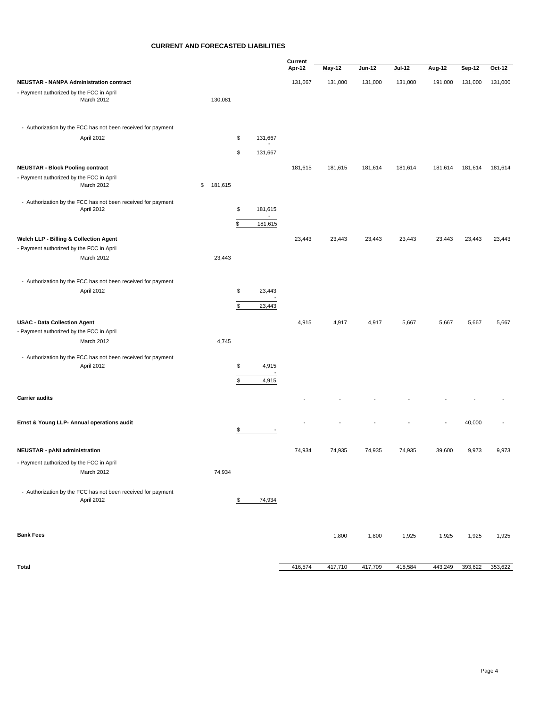#### **CURRENT AND FORECASTED LIABILITIES**

|                                                                            |    |         | Current       |                              |         |         |         |         |         |         |         |
|----------------------------------------------------------------------------|----|---------|---------------|------------------------------|---------|---------|---------|---------|---------|---------|---------|
|                                                                            |    |         |               |                              | Apr-12  | May-12  | Jun-12  | Jul-12  | Aug-12  | Sep-12  | Oct-12  |
| <b>NEUSTAR - NANPA Administration contract</b>                             |    |         |               |                              | 131,667 | 131,000 | 131,000 | 131,000 | 191,000 | 131,000 | 131,000 |
| - Payment authorized by the FCC in April<br>March 2012                     |    | 130,081 |               |                              |         |         |         |         |         |         |         |
| - Authorization by the FCC has not been received for payment               |    |         |               |                              |         |         |         |         |         |         |         |
| April 2012                                                                 |    |         | \$<br>\$      | 131,667<br>$\sim$<br>131,667 |         |         |         |         |         |         |         |
| <b>NEUSTAR - Block Pooling contract</b>                                    |    |         |               |                              | 181,615 | 181,615 | 181,614 | 181,614 | 181,614 | 181,614 | 181,614 |
| - Payment authorized by the FCC in April<br>March 2012                     | \$ | 181,615 |               |                              |         |         |         |         |         |         |         |
| - Authorization by the FCC has not been received for payment<br>April 2012 |    |         | \$            | 181,615<br>$\sim$            |         |         |         |         |         |         |         |
|                                                                            |    |         | \$            | 181,615                      |         |         |         |         |         |         |         |
| Welch LLP - Billing & Collection Agent                                     |    |         |               |                              | 23,443  | 23,443  | 23,443  | 23,443  | 23,443  | 23,443  | 23,443  |
| - Payment authorized by the FCC in April                                   |    |         |               |                              |         |         |         |         |         |         |         |
| March 2012                                                                 |    | 23,443  |               |                              |         |         |         |         |         |         |         |
| - Authorization by the FCC has not been received for payment               |    |         |               |                              |         |         |         |         |         |         |         |
| April 2012                                                                 |    |         | \$            | 23,443                       |         |         |         |         |         |         |         |
|                                                                            |    |         | \$            | 23,443                       |         |         |         |         |         |         |         |
| <b>USAC - Data Collection Agent</b>                                        |    |         |               |                              | 4,915   | 4,917   | 4,917   | 5,667   | 5,667   | 5,667   | 5,667   |
| - Payment authorized by the FCC in April                                   |    |         |               |                              |         |         |         |         |         |         |         |
| March 2012                                                                 |    | 4,745   |               |                              |         |         |         |         |         |         |         |
| - Authorization by the FCC has not been received for payment<br>April 2012 |    |         | \$            | 4,915                        |         |         |         |         |         |         |         |
|                                                                            |    |         | \$            | 4,915                        |         |         |         |         |         |         |         |
| <b>Carrier audits</b>                                                      |    |         |               |                              |         |         |         |         |         |         |         |
| Ernst & Young LLP- Annual operations audit                                 |    |         | $\frac{1}{2}$ |                              |         |         |         |         |         | 40,000  |         |
| <b>NEUSTAR - pANI administration</b>                                       |    |         |               |                              | 74,934  | 74,935  | 74,935  | 74,935  | 39,600  | 9,973   | 9,973   |
| - Payment authorized by the FCC in April<br>March 2012                     |    | 74,934  |               |                              |         |         |         |         |         |         |         |
| - Authorization by the FCC has not been received for payment<br>April 2012 |    |         | \$            | 74,934                       |         |         |         |         |         |         |         |
|                                                                            |    |         |               |                              |         |         |         |         |         |         |         |
| <b>Bank Fees</b>                                                           |    |         |               |                              |         | 1,800   | 1,800   | 1,925   | 1,925   | 1,925   | 1,925   |
| <b>Total</b>                                                               |    |         |               |                              | 416,574 | 417,710 | 417,709 | 418,584 | 443,249 | 393,622 | 353,622 |